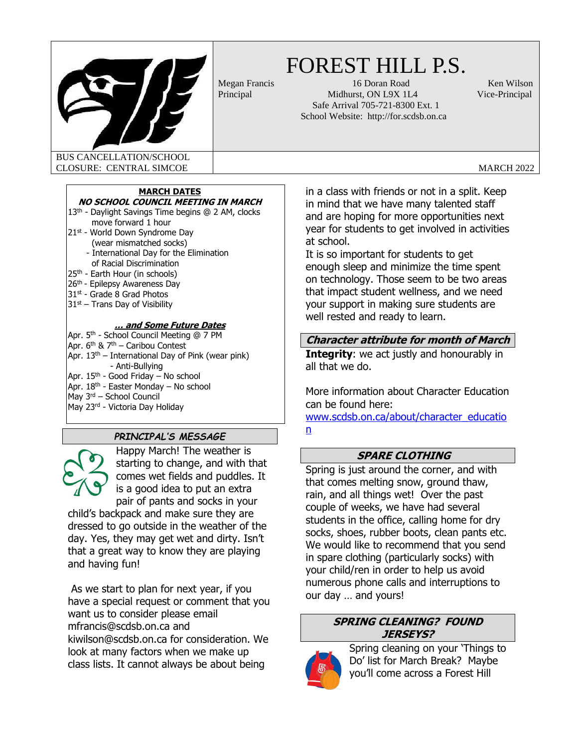

# FOREST HILL P.S.

Megan Francis 16 Doran Road Ken Wilson Principal Midhurst, ON L9X 1L4 Vice-Principal Safe Arrival 705-721-8300 Ext. 1 School Website: http://for.scdsb.on.ca

BUS CANCELLATION/SCHOOL CLOSURE: CENTRAL SIMCOE CLOSURE: CENTRAL SIMCOE

# **MARCH DATES**

# **NO SCHOOL COUNCIL MEETING IN MARCH**

- 13<sup>th</sup> Daylight Savings Time begins @ 2 AM, clocks move forward 1 hour
- 21st World Down Syndrome Day (wear mismatched socks) - International Day for the Elimination
- of Racial Discrimination
- 25th Earth Hour (in schools)
- 26<sup>th</sup> Epilepsy Awareness Day
- 31<sup>st</sup> Grade 8 Grad Photos
- $31<sup>st</sup>$  Trans Day of Visibility

#### **… and Some Future Dates**

Apr. 5<sup>th</sup> - School Council Meeting @ 7 PM Apr. 6<sup>th</sup> & 7<sup>th</sup> – Caribou Contest Apr.  $13<sup>th</sup>$  – International Day of Pink (wear pink) - Anti-Bullying Apr. 15<sup>th</sup> - Good Friday – No school Apr. 18<sup>th</sup> - Easter Monday – No school May 3rd – School Council May 23rd - Victoria Day Holiday

# *PRINCIPAL'S MESSAGE*



Happy March! The weather is starting to change, and with that comes wet fields and puddles. It is a good idea to put an extra pair of pants and socks in your

child's backpack and make sure they are dressed to go outside in the weather of the day. Yes, they may get wet and dirty. Isn't that a great way to know they are playing and having fun!

As we start to plan for next year, if you have a special request or comment that you want us to consider please email mfrancis@scdsb.on.ca and kiwilson@scdsb.on.ca for consideration. We look at many factors when we make up class lists. It cannot always be about being

in a class with friends or not in a split. Keep in mind that we have many talented staff and are hoping for more opportunities next year for students to get involved in activities at school.

It is so important for students to get enough sleep and minimize the time spent on technology. Those seem to be two areas that impact student wellness, and we need your support in making sure students are well rested and ready to learn.

# **Character attribute for month of March**

**Integrity:** we act justly and honourably in all that we do.

More information about Character Education can be found here:

[www.scdsb.on.ca/about/character\\_educatio](file:///C:/Users/afarrell/AppData/Local/Microsoft/Windows/INetCache/Content.Outlook/AppData/Local/Microsoft/Windows/INetCache/Content.Outlook/3B3BYZ7W/www.scdsb.on.ca/about/character_education) [n](file:///C:/Users/afarrell/AppData/Local/Microsoft/Windows/INetCache/Content.Outlook/AppData/Local/Microsoft/Windows/INetCache/Content.Outlook/3B3BYZ7W/www.scdsb.on.ca/about/character_education)

# **SPARE CLOTHING**

Spring is just around the corner, and with that comes melting snow, ground thaw, rain, and all things wet! Over the past couple of weeks, we have had several students in the office, calling home for dry socks, shoes, rubber boots, clean pants etc. We would like to recommend that you send in spare clothing (particularly socks) with your child/ren in order to help us avoid numerous phone calls and interruptions to our day … and yours!

# **SPRING CLEANING? FOUND JERSEYS?**



Spring cleaning on your 'Things to Do' list for March Break? Maybe you'll come across a Forest Hill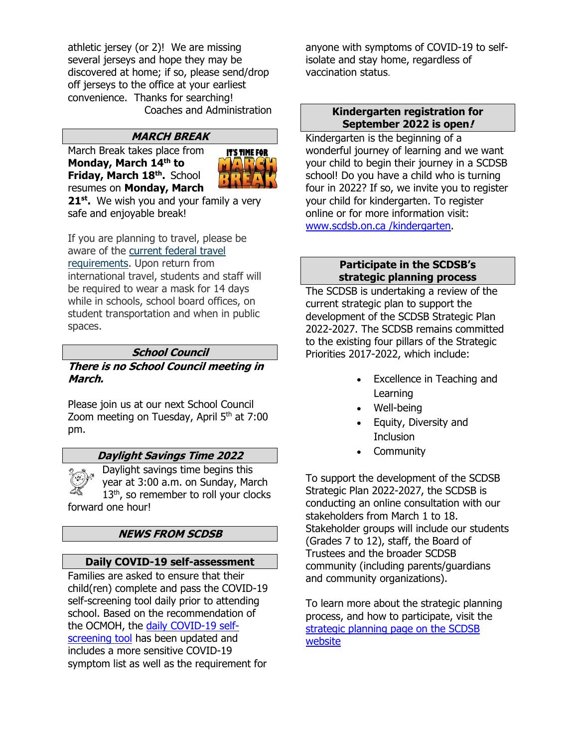athletic jersey (or 2)! We are missing several jerseys and hope they may be discovered at home; if so, please send/drop off jerseys to the office at your earliest convenience. Thanks for searching! Coaches and Administration

# **MARCH BREAK**

March Break takes place from **Monday, March 14 th to Friday, March 18th .** School resumes on **Monday, March** 



**21st .** We wish you and your family a very safe and enjoyable break!

If you are planning to travel, please be aware of the [current federal travel](https://travel.gc.ca/travel-covid/travel-restrictions/exemptions)  [requirements.](https://travel.gc.ca/travel-covid/travel-restrictions/exemptions) Upon return from international travel, students and staff will be required to wear a mask for 14 days while in schools, school board offices, on student transportation and when in public spaces.

#### **School Council**

**There is no School Council meeting in March.**

Please join us at our next School Council Zoom meeting on Tuesday, April 5<sup>th</sup> at 7:00 pm.

#### **Daylight Savings Time 2022**

Daylight savings time begins this year at 3:00 a.m. on Sunday, March 13<sup>th</sup>, so remember to roll your clocks forward one hour!

# **NEWS FROM SCDSB**

#### **Daily COVID-19 self-assessment**

Families are asked to ensure that their child(ren) complete and pass the COVID-19 self-screening tool daily prior to attending school. Based on the recommendation of the OCMOH, the [daily COVID-19 self](https://can01.safelinks.protection.outlook.com/?url=https%3A%2F%2Fcovid-19.ontario.ca%2Fschool-screening%2F&data=04%7C01%7Cmslademorrison%40scdsb.on.ca%7C115f1376cdb7487eefc408d9cc86702f%7C573d7e64d5434fd8b3da0c64adc4eb35%7C1%7C0%7C637765700038934322%7CUnknown%7CTWFpbGZsb3d8eyJWIjoiMC4wLjAwMDAiLCJQIjoiV2luMzIiLCJBTiI6Ik1haWwiLCJXVCI6Mn0%3D%7C3000&sdata=bmXgInKxXqSoN6Wb%2FnLxtq5WGlIN9uXwa2mUISe9mCc%3D&reserved=0)[screening tool](https://can01.safelinks.protection.outlook.com/?url=https%3A%2F%2Fcovid-19.ontario.ca%2Fschool-screening%2F&data=04%7C01%7Cmslademorrison%40scdsb.on.ca%7C115f1376cdb7487eefc408d9cc86702f%7C573d7e64d5434fd8b3da0c64adc4eb35%7C1%7C0%7C637765700038934322%7CUnknown%7CTWFpbGZsb3d8eyJWIjoiMC4wLjAwMDAiLCJQIjoiV2luMzIiLCJBTiI6Ik1haWwiLCJXVCI6Mn0%3D%7C3000&sdata=bmXgInKxXqSoN6Wb%2FnLxtq5WGlIN9uXwa2mUISe9mCc%3D&reserved=0) has been updated and includes a more sensitive COVID-19 symptom list as well as the requirement for

anyone with symptoms of COVID-19 to selfisolate and stay home, regardless of vaccination status.

### **Kindergarten registration for September 2022 is open!**

Kindergarten is the beginning of a wonderful journey of learning and we want your child to begin their journey in a SCDSB school! Do you have a child who is turning four in 2022? If so, we invite you to register your child for kindergarten. To register online or for more information visit: www.scdsb.on.ca /kindergarten.

#### **Participate in the SCDSB's strategic planning process**

The SCDSB is undertaking a review of the current strategic plan to support the development of the SCDSB Strategic Plan 2022-2027. The SCDSB remains committed to the existing four pillars of the Strategic Priorities 2017-2022, which include:

- Excellence in Teaching and Learning
- Well-being
- Equity, Diversity and **Inclusion**
- Community

To support the development of the SCDSB Strategic Plan 2022-2027, the SCDSB is conducting an online consultation with our stakeholders from March 1 to 18. Stakeholder groups will include our students (Grades 7 to 12), staff, the Board of Trustees and the broader SCDSB community (including parents/guardians and community organizations).

To learn more about the strategic planning process, and how to participate, visit the [strategic planning page on the SCDSB](https://www.scdsb.on.ca/about/goals_reporting/strategic_priorities/strategic_planning)  [website](https://www.scdsb.on.ca/about/goals_reporting/strategic_priorities/strategic_planning)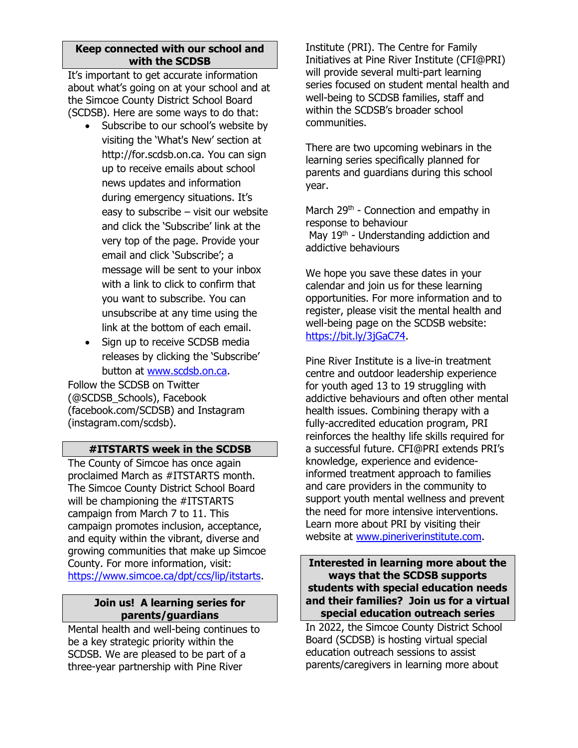#### **Keep connected with our school and with the SCDSB**

It's important to get accurate information about what's going on at your school and at the Simcoe County District School Board (SCDSB). Here are some ways to do that:

- Subscribe to our school's website by visiting the 'What's New' section at http://for.scdsb.on.ca. You can sign up to receive emails about school news updates and information during emergency situations. It's easy to subscribe – visit our website and click the 'Subscribe' link at the very top of the page. Provide your email and click 'Subscribe'; a message will be sent to your inbox with a link to click to confirm that you want to subscribe. You can unsubscribe at any time using the link at the bottom of each email.
- Sign up to receive SCDSB media releases by clicking the 'Subscribe' button at [www.scdsb.on.ca.](http://www.scdsb.on.ca/)

Follow the SCDSB on Twitter (@SCDSB\_Schools), Facebook (facebook.com/SCDSB) and Instagram (instagram.com/scdsb).

# **#ITSTARTS week in the SCDSB**

The County of Simcoe has once again proclaimed March as #ITSTARTS month. The Simcoe County District School Board will be championing the #ITSTARTS campaign from March 7 to 11. This campaign promotes inclusion, acceptance, and equity within the vibrant, diverse and growing communities that make up Simcoe County. For more information, visit: [https://www.simcoe.ca/dpt/ccs/lip/itstarts.](https://can01.safelinks.protection.outlook.com/?url=https%3A%2F%2Fwww.simcoe.ca%2Fdpt%2Fccs%2Flip%2Fitstarts&data=04%7C01%7Cafarrell%40scdsb.on.ca%7Cdfc492e848b34855857e08d9f7aadb07%7C573d7e64d5434fd8b3da0c64adc4eb35%7C1%7C0%7C637813135447185426%7CUnknown%7CTWFpbGZsb3d8eyJWIjoiMC4wLjAwMDAiLCJQIjoiV2luMzIiLCJBTiI6Ik1haWwiLCJXVCI6Mn0%3D%7C3000&sdata=sye50z4TyPhMj2os7F1RePV%2FLgHCnNbCHqMFJ0KZqag%3D&reserved=0)

# **Join us! A learning series for parents/guardians**

Mental health and well-being continues to be a key strategic priority within the SCDSB. We are pleased to be part of a three-year partnership with Pine River

Institute (PRI). The Centre for Family Initiatives at Pine River Institute (CFI@PRI) will provide several multi-part learning series focused on student mental health and well-being to SCDSB families, staff and within the SCDSB's broader school communities.

There are two upcoming webinars in the learning series specifically planned for parents and guardians during this school year.

March  $29<sup>th</sup>$  - Connection and empathy in response to behaviour May 19<sup>th</sup> - Understanding addiction and addictive behaviours

We hope you save these dates in your calendar and join us for these learning opportunities. For more information and to register, please visit the mental health and well-being page on the SCDSB website: [https://bit.ly/3jGaC74.](https://can01.safelinks.protection.outlook.com/?url=https%3A%2F%2Fbit.ly%2F3jGaC74&data=04%7C01%7Cafarrell%40scdsb.on.ca%7Cec4ecedd6fe14e8d9f3708d999468884%7C573d7e64d5434fd8b3da0c64adc4eb35%7C1%7C0%7C637709350472482142%7CUnknown%7CTWFpbGZsb3d8eyJWIjoiMC4wLjAwMDAiLCJQIjoiV2luMzIiLCJBTiI6Ik1haWwiLCJXVCI6Mn0%3D%7C1000&sdata=gRQeln4fMgkvZPyGjrguRKa5cqk6yDqM%2B67RPLY4MMU%3D&reserved=0)

Pine River Institute is a live-in treatment centre and outdoor leadership experience for youth aged 13 to 19 struggling with addictive behaviours and often other mental health issues. Combining therapy with a fully-accredited education program, PRI reinforces the healthy life skills required for a successful future. CFI@PRI extends PRI's knowledge, experience and evidenceinformed treatment approach to families and care providers in the community to support youth mental wellness and prevent the need for more intensive interventions. Learn more about PRI by visiting their website at [www.pineriverinstitute.com.](http://www.pineriverinstitute.com/)

#### **Interested in learning more about the ways that the SCDSB supports students with special education needs and their families? Join us for a virtual special education outreach series**

In 2022, the Simcoe County District School Board (SCDSB) is hosting virtual special education outreach sessions to assist parents/caregivers in learning more about